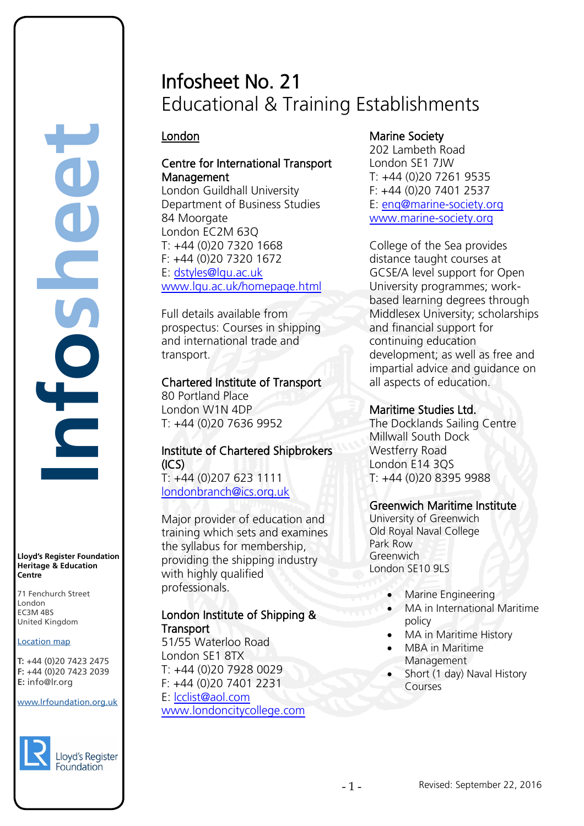# Infosheet No. 21 Educational & Training Establishments

# London

**Infosheet**

**Lloyd's Register Foundation Heritage & Education**

rd's Register Foundat<br>
itage & Education<br>
tre<br>
Eenchurch Street<br>
don<br>
M 4BS<br>
ted Kingdom<br>
ation map<br>
44 (0)20 7423 2475<br>
44 (0)20 7423 2039<br>
nfo@lr.org

E

71 Fenchurch Street London Information Services EC3M 4BS United Kingdom

**Location map** T: +44 (0)20 7423 2475 **F:** +44 (0)20 7423 2039 Fax: +44 (0)20 7423 2039

EC3M 4BS

www.lrfoundation.org.uk

Lloyd's Register Foundation

 $F \rightarrow (0/20, 1 + 2)$ 

**E:** info@lr.org

**Centre**

# Centre for International Transport Management

London Guildhall University Department of Business Studies 84 Moorgate London EC2M 63Q T: +44 (0)20 7320 1668 F: +44 (0)20 7320 1672 E: [dstyles@lgu.ac.uk](mailto:dstyles@lgu.ac.uk) [www.lgu.ac.uk/homepage.html](http://www.lgu.ac.uk/homepage.html)

Full details available from prospectus: Courses in shipping and international trade and transport.

Chartered Institute of Transport 80 Portland Place London W1N 4DP

T: +44 (0)20 7636 9952

# Institute of Chartered Shipbrokers  $(ICS)$ T: +44 (0)207 623 1111

[londonbranch@ics.org.uk](mailto:londonbranch@ics.org.uk)

Major provider of [education](http://www.ics.org.uk/learning) and [training](http://www.ics.org.uk/learning/corporate-support) which sets and examines the syllabus for [membership,](http://www.ics.org.uk/membership) providing the shipping industry with highly qualified professionals.

### London Institute of Shipping & **Transport**

51/55 Waterloo Road London SE1 8TX T: +44 (0)20 7928 0029 F: +44 (0)20 7401 2231 E: [lcclist@aol.com](mailto:lcclist@aol.com) [www.londoncitycollege.com](http://www.londoncitycollege.com/)

# Marine Society

202 Lambeth Road London SE1 7JW T: +44 (0)20 7261 9535  $F: +44(0)2074012537$ E: [enq@marine-society.org](mailto:enq@marine-society.org) [www.marine-society.org](http://www.marine-society.org/)

College of the Sea provides distance taught courses at GCSE/A level support for Open University programmes; workbased learning degrees through Middlesex University; scholarships and financial support for continuing education development; as well as free and impartial advice and guidance on all aspects of education.

# Maritime Studies Ltd.

The Docklands Sailing Centre Millwall South Dock Westferry Road London E14 3QS T: +44 (0)20 8395 9988

# Greenwich Maritime Institute

University of Greenwich Old Royal Naval College Park Row Greenwich London SE10 9LS

- Marine Engineering
- MA in International Maritime policy
- MA in Maritime History
- **MBA** in Maritime Management
- Short (1 day) Naval History Courses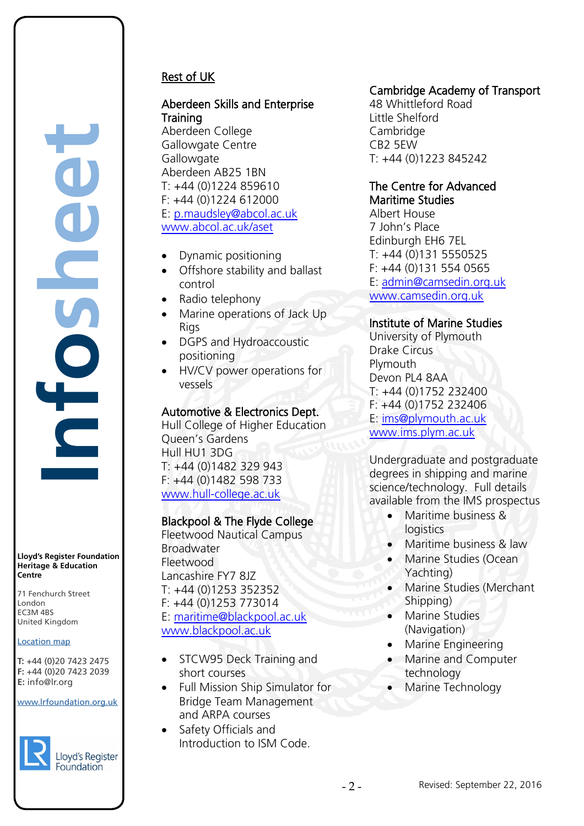# Rest of UK

# Aberdeen Skills and Enterprise Training

Aberdeen College Gallowgate Centre **Gallowgate** Aberdeen AB25 1BN  $T: +44(0)1224859610$ F: +44 (0)1224 612000 E: [p.maudsley@abcol.ac.uk](mailto:p.maudsley@abcol.ac.uk) [www.abcol.ac.uk/aset](http://www.abcol.ac.uk/aset)

- Dynamic positioning
- Offshore stability and ballast control
- Radio telephony
- Marine operations of Jack Up Rigs
- DGPS and Hydroaccoustic positioning
- HV/CV power operations for vessels

### Automotive & Electronics Dept.

Hull College of Higher Education Queen's Gardens Hull HU1 3DG T: +44 (0)1482 329 943 F: +44 (0)1482 598 733 [www.hull-college.ac.uk](http://www.hull-college.ac.uk/)

# Blackpool & The Flyde College

Fleetwood Nautical Campus Broadwater Fleetwood Lancashire FY7 8JZ T: +44 (0)1253 352352 F: +44 (0)1253 773014 E: [maritime@blackpool.ac.uk](mailto:maritime@blackpool.ac.uk) [www.blackpool.ac.uk](http://www.blackpool.ac.uk/)

- STCW95 Deck Training and short courses
- Full Mission Ship Simulator for Bridge Team Management and ARPA courses
- Safety Officials and Introduction to ISM Code.

# Cambridge Academy of Transport

48 Whittleford Road Little Shelford Cambridge CB2 5EW T: +44 (0)1223 845242

#### The Centre for Advanced Maritime Studies

Albert House 7 John's Place Edinburgh EH6 7EL T: +44 (0)131 5550525 F: +44 (0)131 554 0565 E: [admin@camsedin.org.uk](mailto:admin@camsedin.org.uk) [www.camsedin.org.uk](http://www.camsedin.org.uk/)

### Institute of Marine Studies

University of Plymouth Drake Circus Plymouth Devon PL4 8AA T: +44 (0)1752 232400 F: +44 (0)1752 232406 E: [ims@plymouth.ac.uk](mailto:ims@plymouth.ac.uk) [www.ims.plym.ac.uk](http://www.ims.plym.ac.uk/)

Undergraduate and postgraduate degrees in shipping and marine science/technology. Full details available from the IMS prospectus

- Maritime business & **logistics**
- Maritime business & law
- Marine Studies (Ocean Yachting)
- Marine Studies (Merchant Shipping)
- Marine Studies (Navigation)
- Marine Engineering
- Marine and Computer technology
- Marine Technology

**Heritage & Education Centre** 71 Fenchurch Street

**Lloyd's Register Foundation**

**Infosheet**

Ē

London Information Services EC3M 4BS United Kingdom EC3M 4BS

#### **Location map**

T: +44 (0)20 7423 2475 **F:** +44 (0)20 7423 2039 Fax: +44 (0)20 7423 2039 **E:** info@lr.org  $F \rightarrow (0/20, 1 + 2)$ rd's Register Foundat<br>
itage & Education<br>
tre<br>
Eenchurch Street<br>
don<br>
M 4BS<br>
ted Kingdom<br>
ation map<br>
44 (0)20 7423 2475<br>
44 (0)20 7423 2039<br>
nfo@lr.org

www.lrfoundation.org.uk

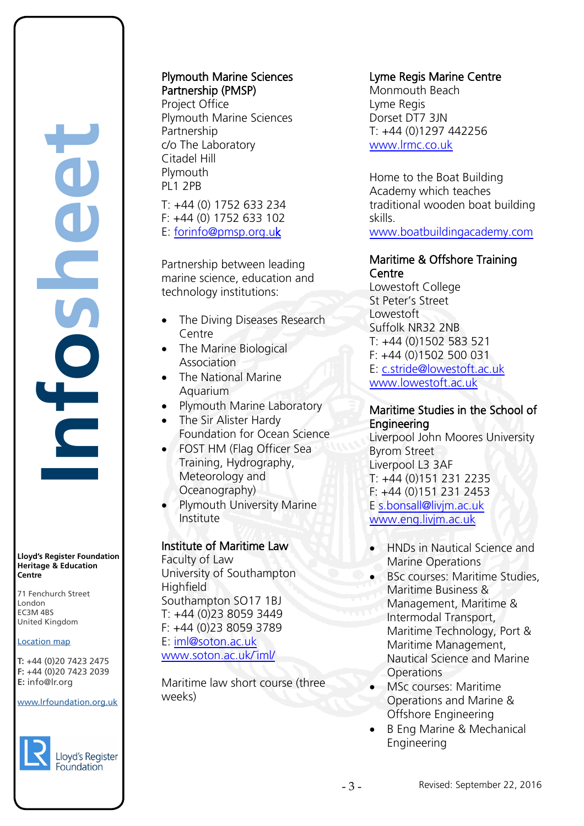**Infosheet** rd's Register Foundat<br>
itage & Education<br>
tre<br>
Eenchurch Street<br>
don<br>
M 4BS<br>
ted Kingdom<br>
ation map<br>
44 (0)20 7423 2475<br>
44 (0)20 7423 2039<br>
nfo@lr.org Ē

**Lloyd's Register Foundation Heritage & Education Centre**

71 Fenchurch Street London Information Services EC3M 4BS United Kingdom EC3M 4BS

#### **Location map**

T: +44 (0)20 7423 2475 **F:** +44 (0)20 7423 2039 Fax: +44 (0)20 7423 2039 **E:** info@lr.org  $F \rightarrow (0/20, 1 + 2)$ 

#### www.lrfoundation.org.uk



#### Plymouth Marine Sciences Partnership (PMSP)

Project Office Plymouth Marine Sciences Partnership c/o The Laboratory Citadel Hill Plymouth PL1 2PB

T: +44 (0) 1752 633 234 F: +44 (0) 1752 633 102 E: [forinfo@pmsp.org.uk](mailto:forinfo@pmsp.org.uk) 

Partnership between leading marine science, education and technology institutions:

- The Diving Diseases Research Centre
- The Marine Biological **Association**
- The National Marine Aquarium
- Plymouth Marine Laboratory
- The Sir Alister Hardy Foundation for Ocean Science
- **FOST HM (Flag Officer Sea** Training, Hydrography, Meteorology and Oceanography)
- Plymouth University Marine Institute

#### Institute of Maritime Law

Faculty of Law University of Southampton **Highfield** Southampton SO17 1BJ T: +44 (0)23 8059 3449 F: +44 (0)23 8059 3789 E: [iml@soton.ac.uk](mailto:iml@soton.ac.uk) [www.soton.ac.uk/˜iml/](http://www.soton.ac.uk/˜iml/)

Maritime law short course (three weeks)

#### Lyme Regis Marine Centre

Monmouth Beach Lyme Regis Dorset DT7 3JN T: +44 (0)1297 442256 [www.lrmc.co.uk](http://www.lrmc.co.uk/) 

Home to the Boat Building Academy which teaches traditional wooden boat building skills.

[www.boatbuildingacademy.com](http://www.boatbuildingacademy.com/) 

### Maritime & Offshore Training Centre

Lowestoft College St Peter's Street Lowestoft Suffolk NR32 2NB T: +44 (0)1502 583 521 F: +44 (0)1502 500 031 E: [c.stride@lowestoft.ac.uk](mailto:c.stride@lowestoft.ac.uk) [www.lowestoft.ac.uk](http://www.lowestoft.ac.uk/)

#### Maritime Studies in the School of Engineering

Liverpool John Moores University Byrom Street Liverpool L3 3AF T: +44 (0)151 231 2235 F: +44 (0)151 231 2453 E [s.bonsall@livjm.ac.uk](mailto:s.bonsall@livjm.ac.uk) [www.eng.livjm.ac.uk](http://www.eng.livjm.ac.uk/)

• HNDs in Nautical Science and Marine Operations

- BSc courses: Maritime Studies, Maritime Business & Management, Maritime & Intermodal Transport, Maritime Technology, Port & Maritime Management, Nautical Science and Marine **Operations**
- MSc courses: Maritime Operations and Marine & Offshore Engineering
- B Eng Marine & Mechanical Engineering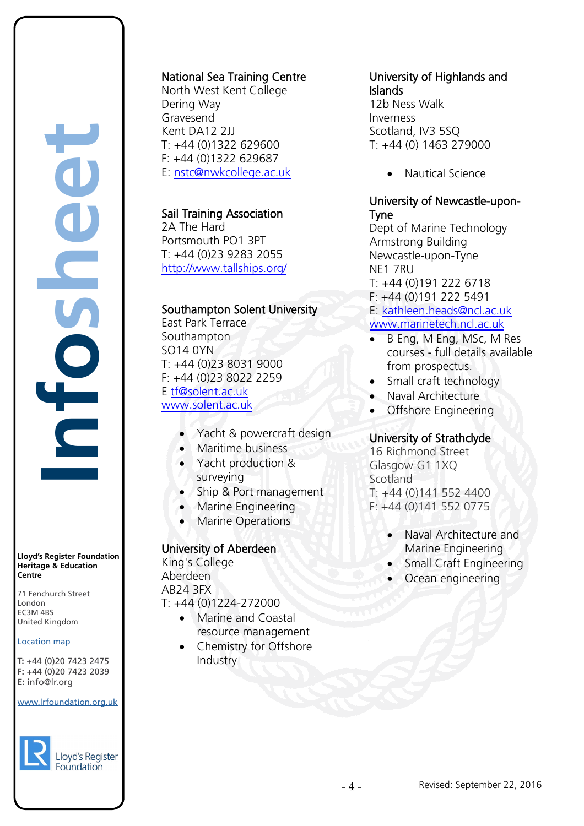**Infosheet** J rd's Register Foundat<br>
itage & Education<br>
tre<br>
Eenchurch Street<br>
don<br>
M 4BS<br>
ted Kingdom<br>
ation map<br>
44 (0)20 7423 2475<br>
44 (0)20 7423 2039<br>
nfo@lr.org 

**Lloyd's Register Foundation Heritage & Education Centre**

71 Fenchurch Street London Information Services EC3M 4BS United Kingdom EC3M 4BS

#### **Location map**

T: +44 (0)20 7423 2475 **F:** +44 (0)20 7423 2039 Fax: +44 (0)20 7423 2039 **E:** info@lr.org  $F \rightarrow (0/20, 1 + 2)$ 

#### www.lrfoundation.org.uk



# National Sea Training Centre

North West Kent College Dering Way **Gravesend** Kent DA12 2JJ T: +44 (0)1322 629600 F: +44 (0)1322 629687 E: [nstc@nwkcollege.ac.uk](mailto:nstc@nwkcollege.ac.uk)

# Sail Training Association

2A The Hard Portsmouth PO1 3PT T: +44 (0)23 9283 2055 <http://www.tallships.org/>

# Southampton Solent University

East Park Terrace Southampton SO14 0YN T: +44 (0)23 8031 9000 F: +44 (0)23 8022 2259 E [tf@solent.ac.uk](mailto:tf@solent.ac.uk) [www.solent.ac.uk](http://www.solent.ac.uk/)

- Yacht & powercraft design
- Maritime business
- Yacht production & surveying
- Ship & Port management
- Marine Engineering
- **Marine Operations**

# University of Aberdeen

King's College Aberdeen AB24 3FX T: +44 (0)1224-272000

- Marine and Coastal resource management
- Chemistry for Offshore **Industry**

# University of Highlands and Islands

12b Ness Walk Inverness Scotland, IV3 5SQ T: +44 (0) 1463 279000

• Nautical Science

# University of Newcastle-upon-Tyne

Dept of Marine Technology Armstrong Building Newcastle-upon-Tyne NE1 7RU T: +44 (0)191 222 6718 F: +44 (0)191 222 5491 E: [kathleen.heads@ncl.ac.uk](mailto:kathleen.heads@ncl.ac.uk) [www.marinetech.ncl.ac.uk](http://www.marinetech.ncl.ac.uk/)

- B Eng, M Eng, MSc, M Res courses - full details available from prospectus.
- Small craft technology
- Naval Architecture
- Offshore Engineering

# University of Strathclyde

16 Richmond Street Glasgow G1 1XQ Scotland T: +44 (0)141 552 4400 F: +44 (0)141 552 0775

- Naval Architecture and Marine Engineering
- Small Craft Engineering
- Ocean engineering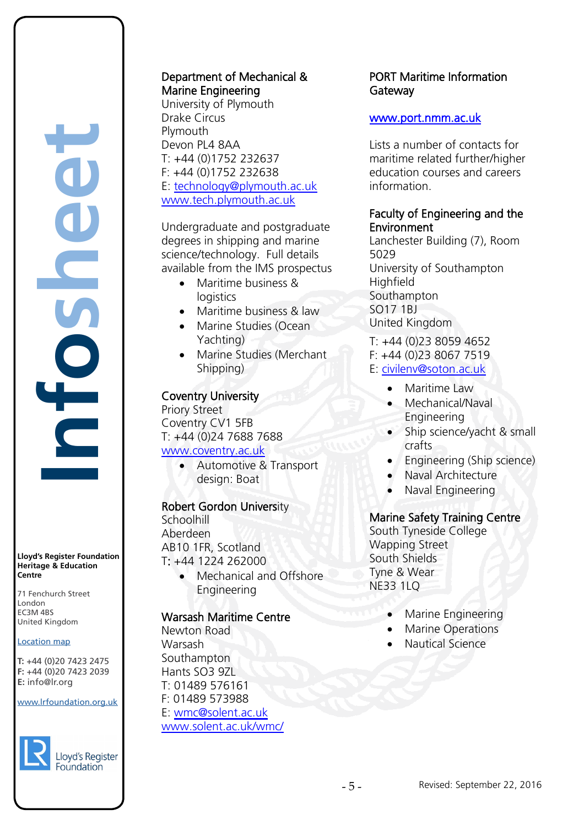**Infosheet** rd's Register Foundat<br>
itage & Education<br>
tre<br>
Eenchurch Street<br>
don<br>
M 4BS<br>
ted Kingdom<br>
ation map<br>
44 (0)20 7423 2475<br>
44 (0)20 7423 2039<br>
nfo@lr.org É

**Lloyd's Register Foundation Heritage & Education Centre**

71 Fenchurch Street London Information Services EC3M 4BS United Kingdom EC3M 4BS

#### **Location map**

T: +44 (0)20 7423 2475 **F:** +44 (0)20 7423 2039 Fax: +44 (0)20 7423 2039 **E:** info@lr.org  $F \rightarrow (0/20, 1 + 2)$ 

#### www.lrfoundation.org.uk



Lloyd's Register

### Department of Mechanical & Marine Engineering

University of Plymouth Drake Circus Plymouth Devon PL4 8AA T: +44 (0)1752 232637 F: +44 (0)1752 232638 E: [technology@plymouth.ac.uk](mailto:technology@plymouth.ac.uk) [www.tech.plymouth.ac.uk](http://www.tech.plymouth.ac.uk/)

Undergraduate and postgraduate degrees in shipping and marine science/technology. Full details available from the IMS prospectus

- Maritime business & **logistics**
- Maritime business & law
- Marine Studies (Ocean Yachting)
- Marine Studies (Merchant Shipping)

### Coventry University

Priory Street Coventry CV1 5FB T: +44 (0)24 7688 7688 [www.coventry.ac.uk](http://www.coventry.ac.uk/)

> • Automotive & Transport design: Boat

#### Robert Gordon University

**Schoolhill** Aberdeen AB10 1FR, Scotland T: +44 1224 262000

> • Mechanical and Offshore Engineering

### Warsash Maritime Centre

Newton Road Warsash **Southampton** Hants SO3 9ZL T: 01489 576161 F: 01489 573988 E: [wmc@solent.ac.uk](mailto:wmc@solent.ac.uk) [www.solent.ac.uk/wmc/](http://www.solent.ac.uk/wmc/)

### PORT Maritime Information **Gateway**

#### [www.port.nmm.ac.uk](http://www.port.nmm.ac.uk/)

Lists a number of contacts for maritime related further/higher education courses and careers information.

### Faculty of Engineering and the Environment

Lanchester Building (7), Room 5029 University of Southampton **Highfield** Southampton SO17 1BJ United Kingdom

- T: +44 (0)23 8059 4652
- F: +44 (0)23 8067 7519
- E: [civilenv@soton.ac.uk](mailto:civilenv@soton.ac.uk)
	- Maritime Law
	- Mechanical/Naval Engineering
	- Ship science/yacht & small crafts
	- Engineering (Ship science)
	- Naval Architecture
	- Naval Engineering

#### Marine Safety Training Centre

South Tyneside College Wapping Street South Shields Tyne & Wear NE33 1LQ

- Marine Engineering
- Marine Operations
- Nautical Science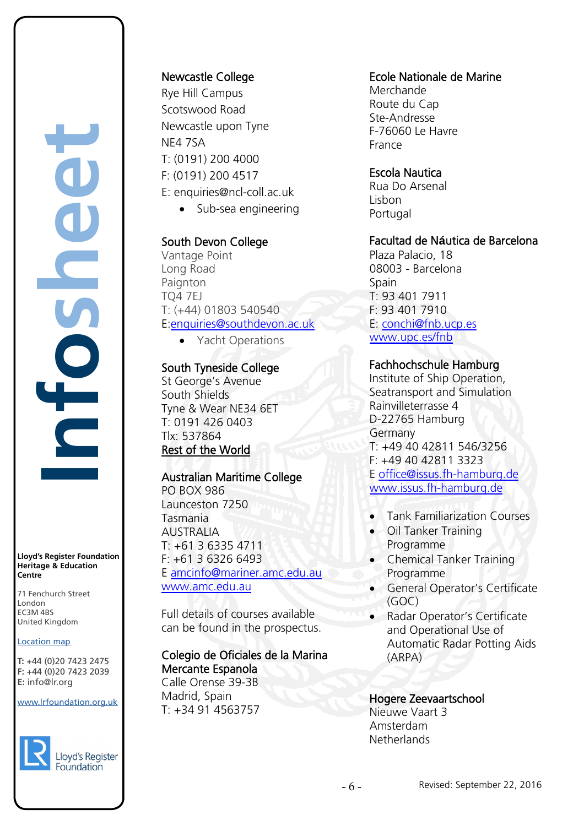**Infosheet** rd's Register Foundat<br>
itage & Education<br>
tre<br>
Eenchurch Street<br>
don<br>
M 4BS<br>
ted Kingdom<br>
ation map<br>
44 (0)20 7423 2475<br>
44 (0)20 7423 2039<br>
nfo@lr.org 

**Lloyd's Register Foundation Heritage & Education Centre**

71 Fenchurch Street London Information Services EC3M 4BS United Kingdom EC3M 4BS

#### Location map

T: +44 (0)20 7423 2475 **F:** +44 (0)20 7423 2039 Fax: +44 (0)20 7423 2039 **E:** info@lr.org  $F \rightarrow (0/20, 1 + 2)$ 

#### www.lrfoundation.org.uk



#### Newcastle College

Rye Hill Campus Scotswood Road Newcastle upon Tyne NE4 7SA T: (0191) 200 4000 F: (0191) 200 4517 E: enquiries@ncl-coll.ac.uk • Sub-sea engineering

### South Devon College

Vantage Point Long Road **Paignton** TQ4 7EJ T: (+44) 01803 540540 E[:enquiries@southdevon.ac.uk](mailto:enquiries@southdevon.ac.uk)

• Yacht Operations

#### South Tyneside College

St George's Avenue South Shields Tyne & Wear NE34 6ET T: 0191 426 0403 Tlx: 537864 Rest of the World

#### Australian Maritime College

PO BOX 986 Launceston 7250 Tasmania AUSTRALIA T: +61 3 6335 4711 F: +61 3 6326 6493 E [amcinfo@mariner.amc.edu.au](mailto:amcinfo@mariner.amc.edu.au) [www.amc.edu.au](http://www.amc.edu.au/)

Full details of courses available can be found in the prospectus.

#### Colegio de Oficiales de la Marina Mercante Espanola

Calle Orense 39-3B Madrid, Spain T: +34 91 4563757

#### Ecole Nationale de Marine

Merchande Route du Cap Ste-Andresse F-76060 Le Havre France

#### Escola Nautica

Rua Do Arsenal **Lishon** Portugal

### Facultad de N**á**utica de Barcelona

Plaza Palacio, 18 08003 - Barcelona **Spain** T: 93 401 7911 F: 93 401 7910 E: [conchi@fnb.ucp.es](mailto:conchi@fnb.ucp.es) [www.upc.es/fnb](http://www.upc.es/fnb)

#### Fachhochschule Hamburg

Institute of Ship Operation, Seatransport and Simulation Rainvilleterrasse 4 D-22765 Hamburg Germany T: +49 40 42811 546/3256 F: +49 40 42811 3323 E [office@issus.fh-hamburg.de](mailto:office@issus.fh-hamburg.de) [www.issus.fh-hamburg.de](http://www.issus.fh-hamburg.de/)

- Tank Familiarization Courses
- Oil Tanker Training Programme
- Chemical Tanker Training Programme
- General Operator's Certificate (GOC)
- Radar Operator's Certificate and Operational Use of Automatic Radar Potting Aids (ARPA)

Hogere Zeevaartschool Nieuwe Vaart 3 Amsterdam **Netherlands**